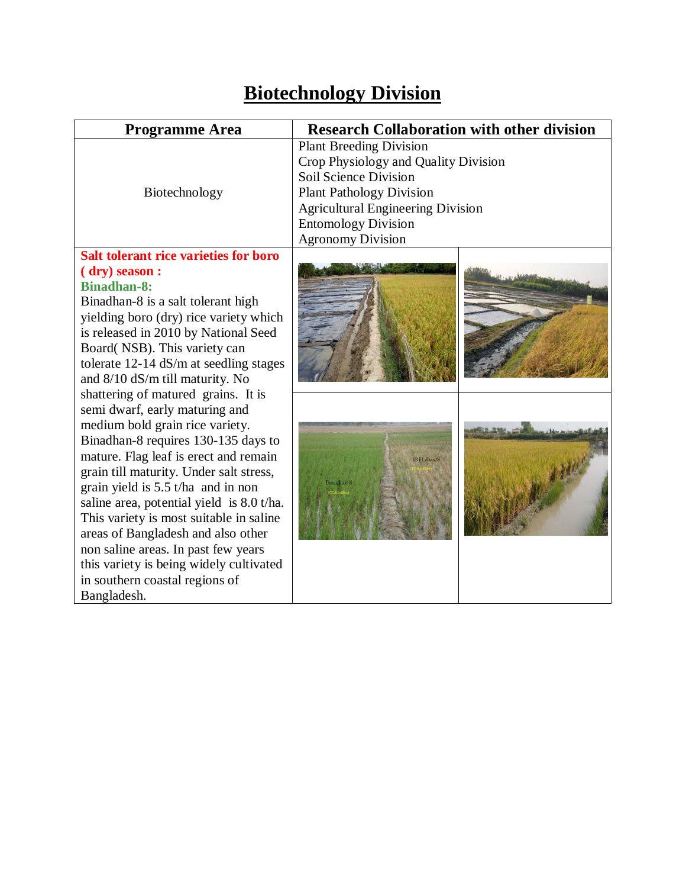# **Biotechnology Division**

| <b>Programme Area</b>                                                                                                                                                                                                                                                                                                                                                                                                                                                                                                                                                                                                                                                                                                                                                                                                                                                   | <b>Research Collaboration with other division</b>                                                                                                                                                                                        |  |
|-------------------------------------------------------------------------------------------------------------------------------------------------------------------------------------------------------------------------------------------------------------------------------------------------------------------------------------------------------------------------------------------------------------------------------------------------------------------------------------------------------------------------------------------------------------------------------------------------------------------------------------------------------------------------------------------------------------------------------------------------------------------------------------------------------------------------------------------------------------------------|------------------------------------------------------------------------------------------------------------------------------------------------------------------------------------------------------------------------------------------|--|
| Biotechnology                                                                                                                                                                                                                                                                                                                                                                                                                                                                                                                                                                                                                                                                                                                                                                                                                                                           | <b>Plant Breeding Division</b><br>Crop Physiology and Quality Division<br>Soil Science Division<br><b>Plant Pathology Division</b><br><b>Agricultural Engineering Division</b><br><b>Entomology Division</b><br><b>Agronomy Division</b> |  |
| <b>Salt tolerant rice varieties for boro</b><br>(dry) season :<br><b>Binadhan-8:</b><br>Binadhan-8 is a salt tolerant high<br>yielding boro (dry) rice variety which<br>is released in 2010 by National Seed<br>Board(NSB). This variety can<br>tolerate 12-14 dS/m at seedling stages<br>and 8/10 dS/m till maturity. No<br>shattering of matured grains. It is<br>semi dwarf, early maturing and<br>medium bold grain rice variety.<br>Binadhan-8 requires 130-135 days to<br>mature. Flag leaf is erect and remain<br>grain till maturity. Under salt stress,<br>grain yield is 5.5 t/ha and in non<br>saline area, potential yield is 8.0 t/ha.<br>This variety is most suitable in saline<br>areas of Bangladesh and also other<br>non saline areas. In past few years<br>this variety is being widely cultivated<br>in southern coastal regions of<br>Bangladesh. |                                                                                                                                                                                                                                          |  |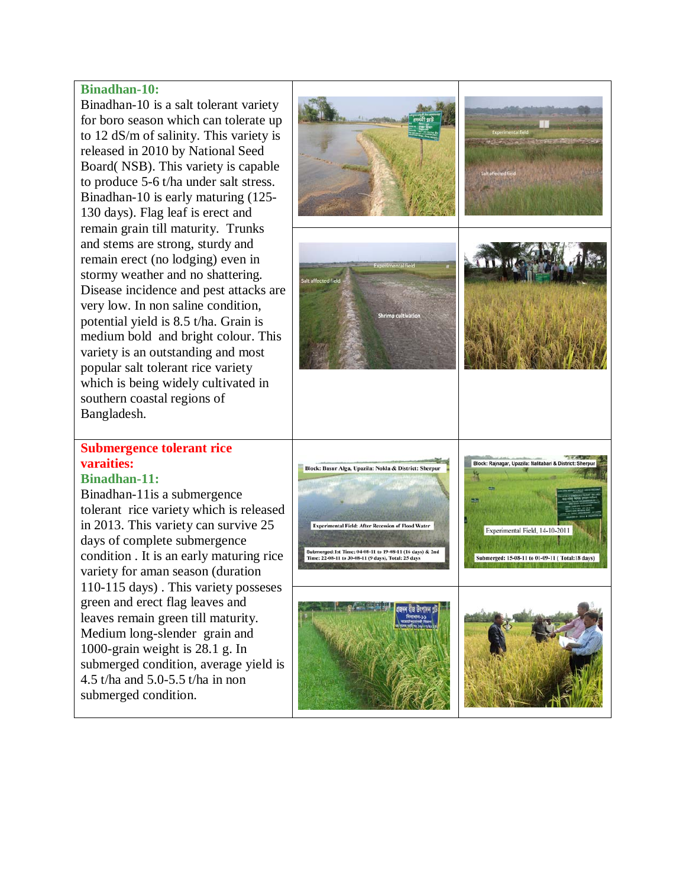#### **Binadhan-10:**

Binadhan-10 is a salt tolerant variety for boro season which can tolerate up to 12 dS/m of salinity. This variety is released in 2010 by National Seed Board( NSB). This variety is capable to produce 5-6 t/ha under salt stress. Binadhan-10 is early maturing (125- 130 days). Flag leaf is erect and remain grain till maturity. Trunks and stems are strong, sturdy and remain erect (no lodging) even in stormy weather and no shattering. Disease incidence and pest attacks are very low. In non saline condition, potential yield is 8.5 t/ha. Grain is medium bold and bright colour. This variety is an outstanding and most popular salt tolerant rice variety which is being widely cultivated in southern coastal regions of Bangladesh.

#### **Submergence tolerant rice varaities:**

#### **Binadhan-11:**

Binadhan-11is a submergence tolerant rice variety which is released in 2013. This variety can survive 25 days of complete submergence condition . It is an early maturing rice variety for aman season (duration 110-115 days) . This variety posseses green and erect flag leaves and leaves remain green till maturity. Medium long-slender grain and 1000-grain weight is 28.1 g. In submerged condition, average yield is 4.5 t/ha and 5.0-5.5 t/ha in non submerged condition.

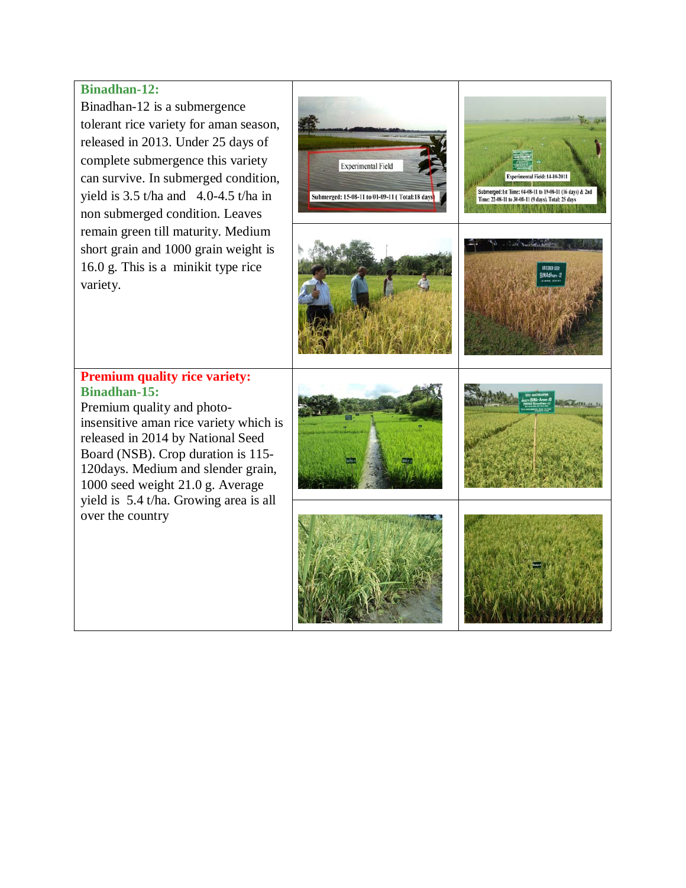#### **Binadhan-12:**

Binadhan-12 is a submergence tolerant rice variety for aman season, released in 2013. Under 25 days of complete submergence this variety can survive. In submerged condition, yield is  $3.5$  t/ha and  $4.0$ -4.5 t/ha in non submerged condition. Leaves remain green till maturity. Medium short grain and 1000 grain weight is 16.0 g. This is a minikit type rice variety.



#### **Premium quality rice variety: Binadhan-15:**

Premium quality and photoinsensitive aman rice variety which is released in 2014 by National Seed Board (NSB). Crop duration is 115- 120days. Medium and slender grain, 1000 seed weight 21.0 g. Average yield is 5.4 t/ha. Growing area is all over the country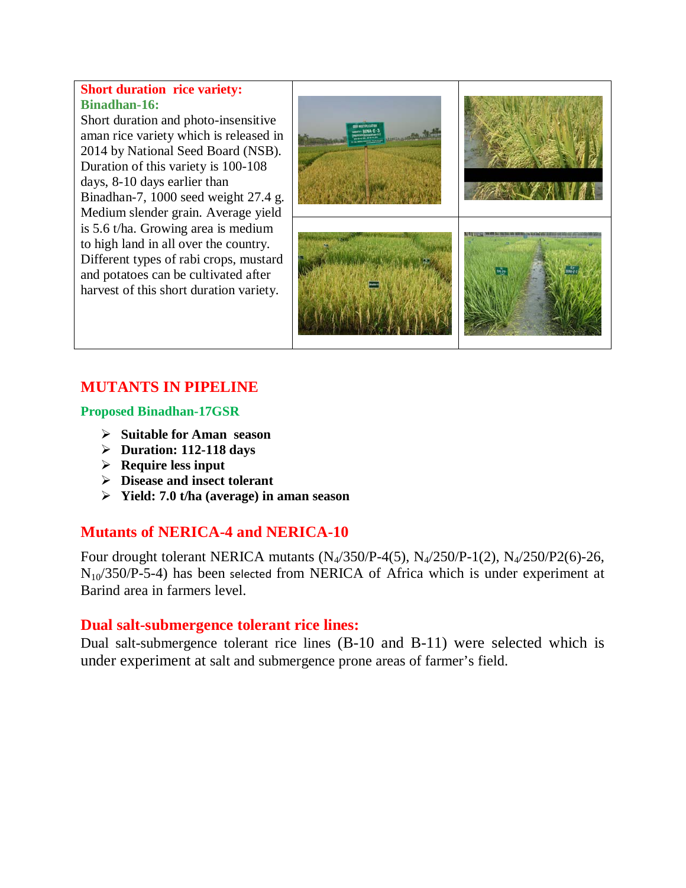#### **Short duration rice variety: Binadhan-16:**

Short duration and photo-insensitive aman rice variety which is released in 2014 by National Seed Board (NSB). Duration of this variety is 100-108 days, 8-10 days earlier than Binadhan-7, 1000 seed weight 27.4 g. Medium slender grain. Average yield is 5.6 t/ha. Growing area is medium to high land in all over the country. Different types of rabi crops, mustard and potatoes can be cultivated after harvest of this short duration variety.



# **MUTANTS IN PIPELINE**

#### **Proposed Binadhan-17GSR**

- **Suitable for Aman season**
- **Duration: 112-118 days**
- **Require less input**
- **Disease and insect tolerant**
- **Yield: 7.0 t/ha (average) in aman season**

## **Mutants of NERICA-4 and NERICA-10**

Four drought tolerant NERICA mutants  $(N_4/350/P-4(5), N_4/250/P-1(2), N_4/250/P2(6)-26,$  $N_{10}/350/P$ -5-4) has been selected from NERICA of Africa which is under experiment at Barind area in farmers level.

#### **Dual salt-submergence tolerant rice lines:**

Dual salt-submergence tolerant rice lines (B-10 and B-11) were selected which is under experiment at salt and submergence prone areas of farmer's field.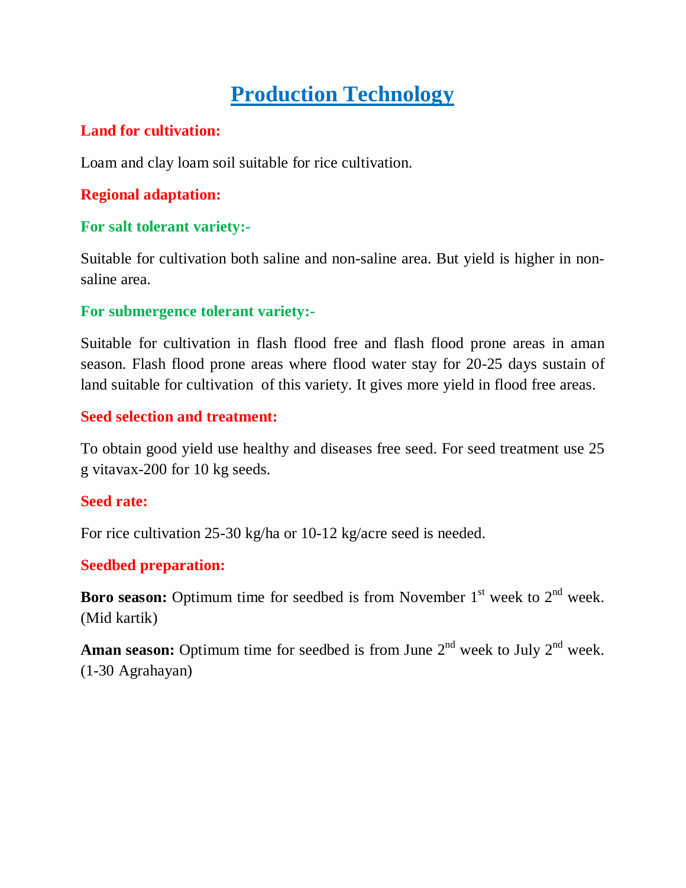# **Production Technology**

## **Land for cultivation:**

Loam and clay loam soil suitable for rice cultivation.

# **Regional adaptation:**

## **For salt tolerant variety:-**

Suitable for cultivation both saline and non-saline area. But yield is higher in nonsaline area.

## **For submergence tolerant variety:-**

Suitable for cultivation in flash flood free and flash flood prone areas in aman season. Flash flood prone areas where flood water stay for 20-25 days sustain of land suitable for cultivation of this variety. It gives more yield in flood free areas.

## **Seed selection and treatment:**

To obtain good yield use healthy and diseases free seed. For seed treatment use 25 g vitavax-200 for 10 kg seeds.

## **Seed rate:**

For rice cultivation 25-30 kg/ha or 10-12 kg/acre seed is needed.

# **Seedbed preparation:**

**Boro season:** Optimum time for seedbed is from November  $1<sup>st</sup>$  week to  $2<sup>nd</sup>$  week. (Mid kartik)

**Aman season:** Optimum time for seedbed is from June  $2<sup>nd</sup>$  week to July  $2<sup>nd</sup>$  week. (1-30 Agrahayan)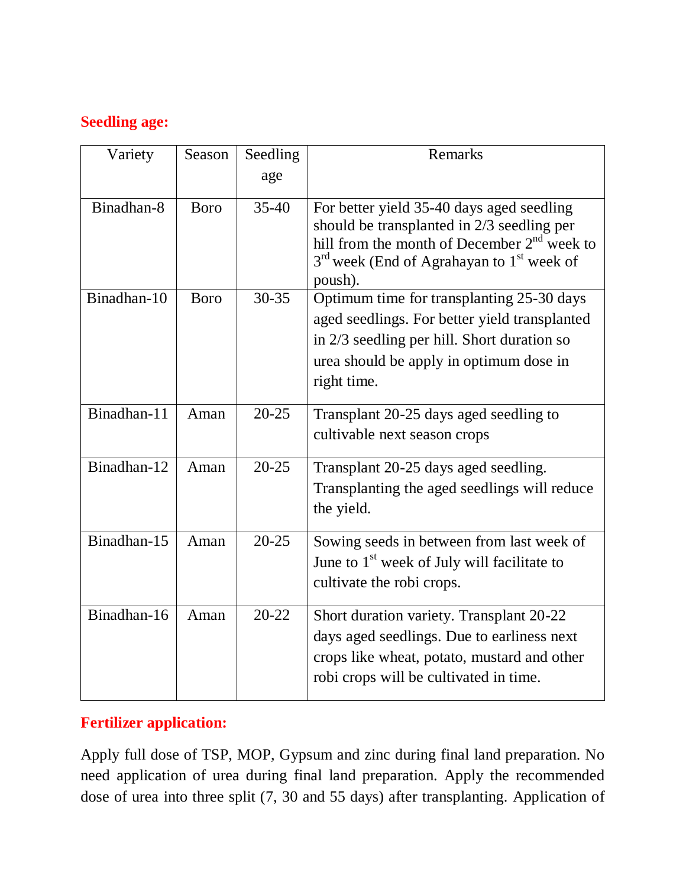# **Seedling age:**

| Variety     | Season      | Seedling  | Remarks                                                                                                                                                                                                        |
|-------------|-------------|-----------|----------------------------------------------------------------------------------------------------------------------------------------------------------------------------------------------------------------|
|             |             | age       |                                                                                                                                                                                                                |
| Binadhan-8  | <b>Boro</b> | $35-40$   | For better yield 35-40 days aged seedling<br>should be transplanted in 2/3 seedling per<br>hill from the month of December $2nd$ week to<br>$3rd$ week (End of Agrahayan to 1 <sup>st</sup> week of<br>poush). |
| Binadhan-10 | <b>Boro</b> | $30 - 35$ | Optimum time for transplanting 25-30 days<br>aged seedlings. For better yield transplanted<br>in $2/3$ seedling per hill. Short duration so<br>urea should be apply in optimum dose in<br>right time.          |
| Binadhan-11 | Aman        | $20 - 25$ | Transplant 20-25 days aged seedling to<br>cultivable next season crops                                                                                                                                         |
| Binadhan-12 | Aman        | $20 - 25$ | Transplant 20-25 days aged seedling.<br>Transplanting the aged seedlings will reduce<br>the yield.                                                                                                             |
| Binadhan-15 | Aman        | $20 - 25$ | Sowing seeds in between from last week of<br>June to 1 <sup>st</sup> week of July will facilitate to<br>cultivate the robi crops.                                                                              |
| Binadhan-16 | Aman        | $20 - 22$ | Short duration variety. Transplant 20-22<br>days aged seedlings. Due to earliness next<br>crops like wheat, potato, mustard and other<br>robi crops will be cultivated in time.                                |

# **Fertilizer application:**

Apply full dose of TSP, MOP, Gypsum and zinc during final land preparation. No need application of urea during final land preparation. Apply the recommended dose of urea into three split (7, 30 and 55 days) after transplanting. Application of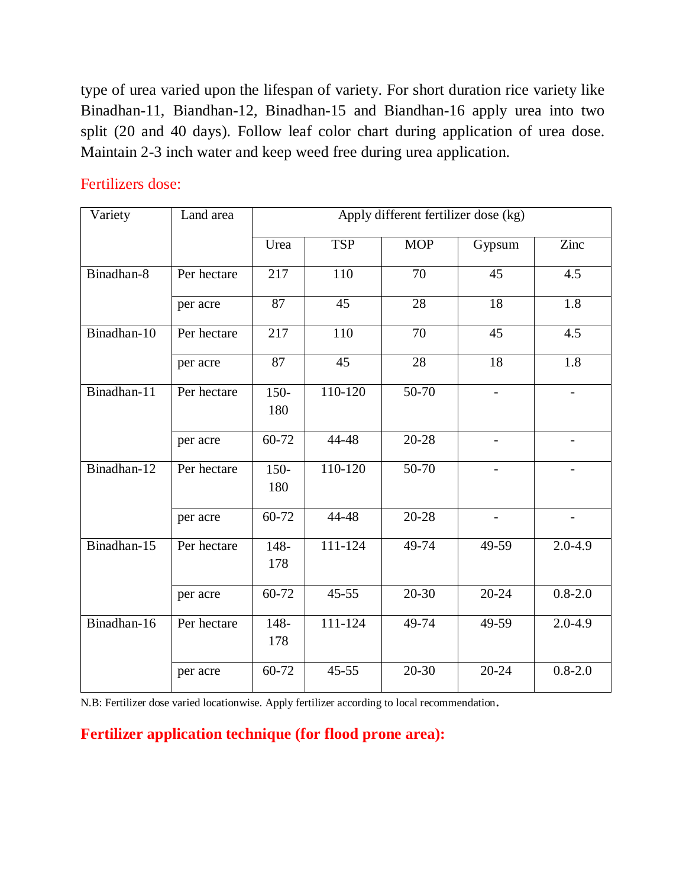type of urea varied upon the lifespan of variety. For short duration rice variety like Binadhan-11, Biandhan-12, Binadhan-15 and Biandhan-16 apply urea into two split (20 and 40 days). Follow leaf color chart during application of urea dose. Maintain 2-3 inch water and keep weed free during urea application.

## Fertilizers dose:

| Variety     | Land area   | Apply different fertilizer dose (kg) |             |            |                          |                          |
|-------------|-------------|--------------------------------------|-------------|------------|--------------------------|--------------------------|
|             |             | Urea                                 | <b>TSP</b>  | <b>MOP</b> | Gypsum                   | Zinc                     |
| Binadhan-8  | Per hectare | 217                                  | 110         | 70         | 45                       | 4.5                      |
|             | per acre    | 87                                   | 45          | 28         | 18                       | 1.8                      |
| Binadhan-10 | Per hectare | 217                                  | 110         | 70         | 45                       | 4.5                      |
|             | per acre    | 87                                   | 45          | 28         | 18                       | 1.8                      |
| Binadhan-11 | Per hectare | $150 -$<br>180                       | $110 - 120$ | $50 - 70$  |                          | $\overline{\phantom{0}}$ |
|             | per acre    | 60-72                                | 44-48       | $20 - 28$  | $\overline{\phantom{a}}$ | $\overline{\phantom{0}}$ |
| Binadhan-12 | Per hectare | $150 -$<br>180                       | $110 - 120$ | $50 - 70$  |                          |                          |
|             | per acre    | 60-72                                | 44-48       | 20-28      | $\overline{\phantom{a}}$ | $\overline{\phantom{a}}$ |
| Binadhan-15 | Per hectare | 148-<br>178                          | $111 - 124$ | $49 - 74$  | 49-59                    | $2.0 - 4.9$              |
|             | per acre    | 60-72                                | $45 - 55$   | $20 - 30$  | $20 - 24$                | $0.8 - 2.0$              |
| Binadhan-16 | Per hectare | 148-<br>178                          | 111-124     | 49-74      | 49-59                    | $2.0 - 4.9$              |
|             | per acre    | 60-72                                | $45 - 55$   | $20 - 30$  | $20 - 24$                | $0.8 - 2.0$              |

N.B: Fertilizer dose varied locationwise. Apply fertilizer according to local recommendation.

**Fertilizer application technique (for flood prone area):**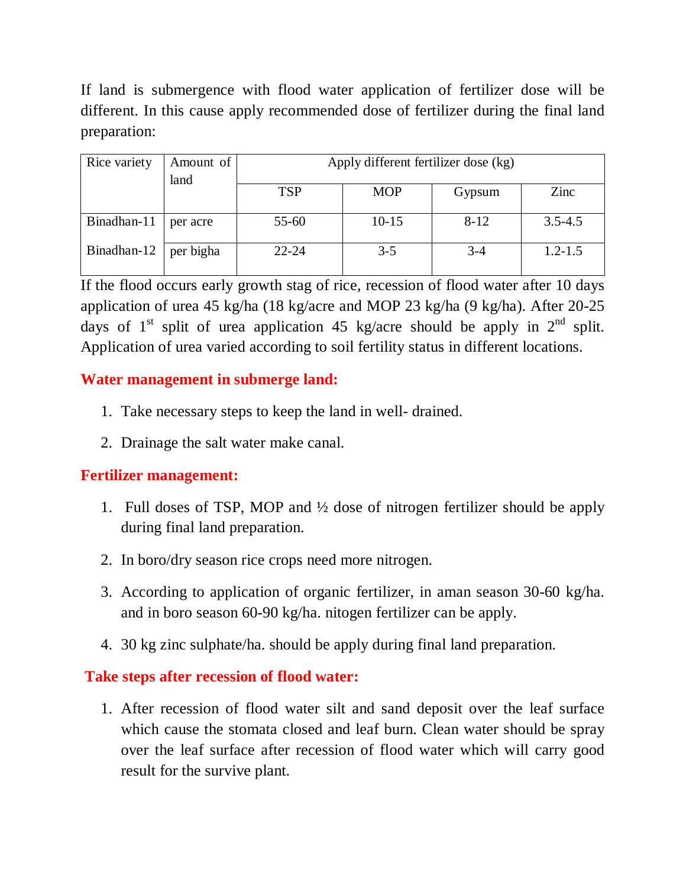If land is submergence with flood water application of fertilizer dose will be different. In this cause apply recommended dose of fertilizer during the final land preparation:

| Rice variety | Amount of<br>land | Apply different fertilizer dose (kg) |            |          |             |
|--------------|-------------------|--------------------------------------|------------|----------|-------------|
|              |                   | <b>TSP</b>                           | <b>MOP</b> | Gypsum   | Zinc        |
| Binadhan-11  | per acre          | $55 - 60$                            | $10 - 15$  | $8 - 12$ | $3.5 - 4.5$ |
| Binadhan-12  | per bigha         | $22 - 24$                            | $3 - 5$    | $3 - 4$  | $1.2 - 1.5$ |

If the flood occurs early growth stag of rice, recession of flood water after 10 days application of urea 45 kg/ha (18 kg/acre and MOP 23 kg/ha (9 kg/ha). After 20-25 days of  $1<sup>st</sup>$  split of urea application 45 kg/acre should be apply in  $2<sup>nd</sup>$  split. Application of urea varied according to soil fertility status in different locations.

## **Water management in submerge land:**

- 1. Take necessary steps to keep the land in well- drained.
- 2. Drainage the salt water make canal.

#### **Fertilizer management:**

- 1. Full doses of TSP, MOP and ½ dose of nitrogen fertilizer should be apply during final land preparation.
- 2. In boro/dry season rice crops need more nitrogen.
- 3. According to application of organic fertilizer, in aman season 30-60 kg/ha. and in boro season 60-90 kg/ha. nitogen fertilizer can be apply.
- 4. 30 kg zinc sulphate/ha. should be apply during final land preparation.

## **Take steps after recession of flood water:**

1. After recession of flood water silt and sand deposit over the leaf surface which cause the stomata closed and leaf burn. Clean water should be spray over the leaf surface after recession of flood water which will carry good result for the survive plant.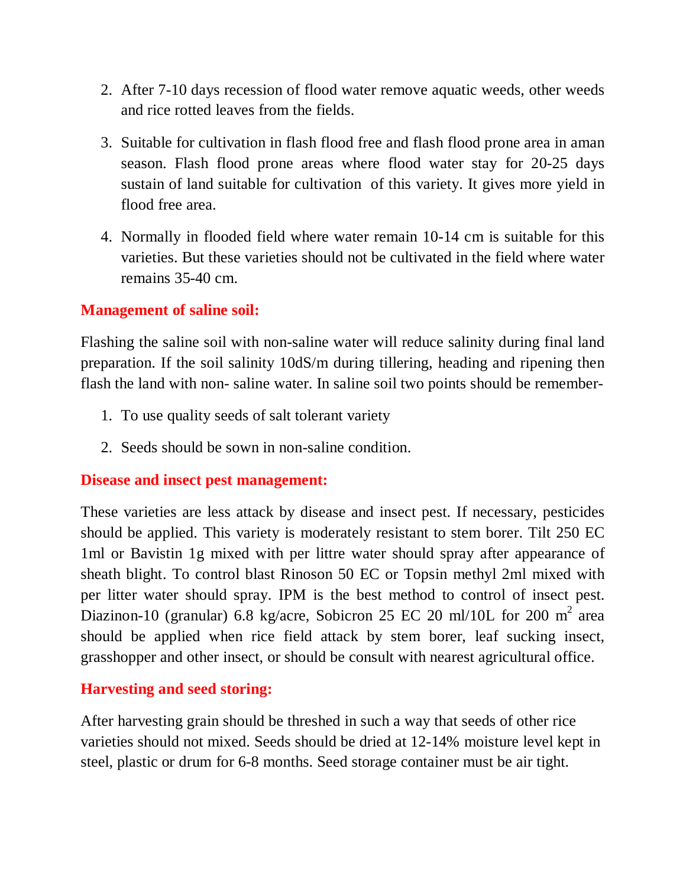- 2. After 7-10 days recession of flood water remove aquatic weeds, other weeds and rice rotted leaves from the fields.
- 3. Suitable for cultivation in flash flood free and flash flood prone area in aman season. Flash flood prone areas where flood water stay for 20-25 days sustain of land suitable for cultivation of this variety. It gives more yield in flood free area.
- 4. Normally in flooded field where water remain 10-14 cm is suitable for this varieties. But these varieties should not be cultivated in the field where water remains 35-40 cm.

## **Management of saline soil:**

Flashing the saline soil with non-saline water will reduce salinity during final land preparation. If the soil salinity 10dS/m during tillering, heading and ripening then flash the land with non- saline water. In saline soil two points should be remember-

- 1. To use quality seeds of salt tolerant variety
- 2. Seeds should be sown in non-saline condition.

#### **Disease and insect pest management:**

These varieties are less attack by disease and insect pest. If necessary, pesticides should be applied. This variety is moderately resistant to stem borer. Tilt 250 EC 1ml or Bavistin 1g mixed with per littre water should spray after appearance of sheath blight. To control blast Rinoson 50 EC or Topsin methyl 2ml mixed with per litter water should spray. IPM is the best method to control of insect pest. Diazinon-10 (granular) 6.8 kg/acre, Sobicron 25 EC 20 ml/10L for 200 m<sup>2</sup> area should be applied when rice field attack by stem borer, leaf sucking insect, grasshopper and other insect, or should be consult with nearest agricultural office.

#### **Harvesting and seed storing:**

After harvesting grain should be threshed in such a way that seeds of other rice varieties should not mixed. Seeds should be dried at 12-14% moisture level kept in steel, plastic or drum for 6-8 months. Seed storage container must be air tight.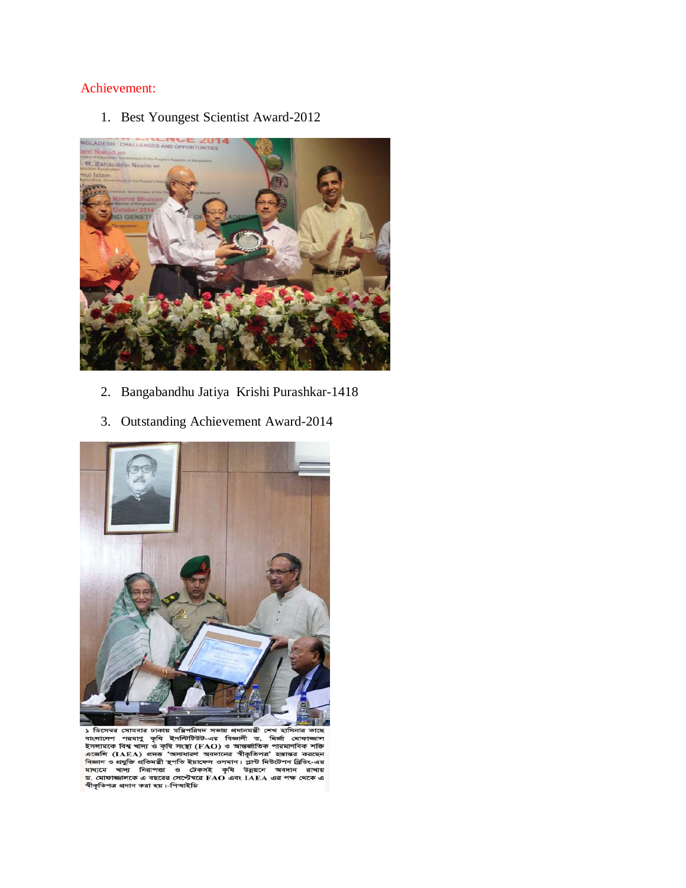#### Achievement:

1. Best Youngest Scientist Award-2012



- 2. Bangabandhu Jatiya Krishi Purashkar-1418
- 3. Outstanding Achievement Award-2014



১ ডিসেম্বর সোমবার ঢাকায় মন্ত্রিপরিষদ সভায় প্রধানমন্ত্রী শেখ হাসিনার কাছে<br>বাংলাদেশ পরমাণু কৃষি ইনস্টিটিউট-এর বিজ্ঞানী ড, মির্জা মোফাজাল<br>ইসলামকে বিশ্ব খাদ্য ও কৃষি সংস্থা (FAO) ও আন্তর্জাতিক পারমাণবিক শক্তি<br>এজেলি ও প্রযুক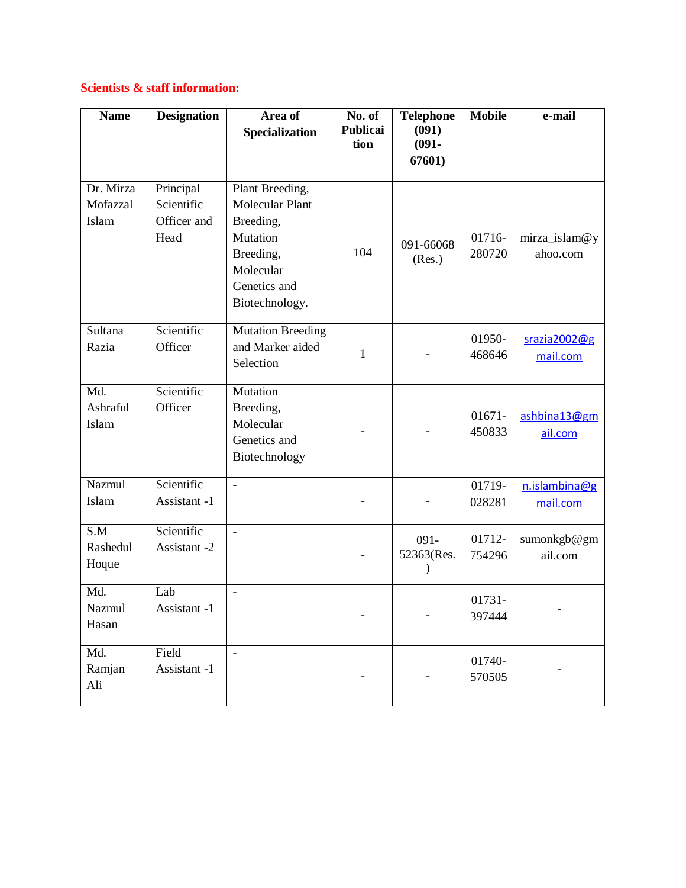#### **Scientists & staff information:**

| <b>Name</b>                    | <b>Designation</b>                             | Area of<br>Specialization                                                                                                      | No. of<br>Publicai<br>tion | <b>Telephone</b><br>(091)<br>$(091 -$<br>67601) | Mobile              | e-mail                    |
|--------------------------------|------------------------------------------------|--------------------------------------------------------------------------------------------------------------------------------|----------------------------|-------------------------------------------------|---------------------|---------------------------|
| Dr. Mirza<br>Mofazzal<br>Islam | Principal<br>Scientific<br>Officer and<br>Head | Plant Breeding,<br><b>Molecular Plant</b><br>Breeding,<br>Mutation<br>Breeding,<br>Molecular<br>Genetics and<br>Biotechnology. | 104                        | 091-66068<br>(Res.)                             | 01716-<br>280720    | mirza_islam@y<br>ahoo.com |
| Sultana<br>Razia               | Scientific<br>Officer                          | <b>Mutation Breeding</b><br>and Marker aided<br>Selection                                                                      | $\mathbf{1}$               |                                                 | 01950-<br>468646    | srazia2002@g<br>mail.com  |
| Md.<br>Ashraful<br>Islam       | Scientific<br>Officer                          | Mutation<br>Breeding,<br>Molecular<br>Genetics and<br>Biotechnology                                                            |                            |                                                 | $01671 -$<br>450833 | ashbina13@gm<br>ail.com   |
| Nazmul<br>Islam                | Scientific<br>Assistant -1                     | $\equiv$                                                                                                                       |                            |                                                 | 01719-<br>028281    | n.islambina@g<br>mail.com |
| S.M<br>Rashedul<br>Hoque       | Scientific<br>Assistant -2                     | $\frac{1}{2}$                                                                                                                  |                            | $091 -$<br>52363(Res.                           | 01712-<br>754296    | sumonkgb@gm<br>ail.com    |
| Md.<br>Nazmul<br>Hasan         | Lab<br>Assistant -1                            | $\overline{\phantom{a}}$                                                                                                       |                            |                                                 | 01731-<br>397444    |                           |
| Md.<br>Ramjan<br>Ali           | Field<br>Assistant -1                          | $\frac{1}{2}$                                                                                                                  |                            |                                                 | 01740-<br>570505    |                           |